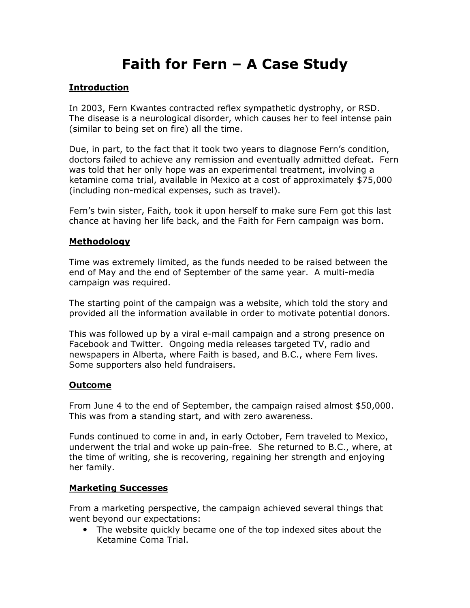# Faith for Fern – A Case Study

## Introduction

In 2003, Fern Kwantes contracted reflex sympathetic dystrophy, or RSD. The disease is a neurological disorder, which causes her to feel intense pain (similar to being set on fire) all the time.

Due, in part, to the fact that it took two years to diagnose Fern's condition, doctors failed to achieve any remission and eventually admitted defeat. Fern was told that her only hope was an experimental treatment, involving a ketamine coma trial, available in Mexico at a cost of approximately \$75,000 (including non-medical expenses, such as travel).

Fern's twin sister, Faith, took it upon herself to make sure Fern got this last chance at having her life back, and the Faith for Fern campaign was born.

#### **Methodology**

Time was extremely limited, as the funds needed to be raised between the end of May and the end of September of the same year. A multi-media campaign was required.

The starting point of the campaign was a website, which told the story and provided all the information available in order to motivate potential donors.

This was followed up by a viral e-mail campaign and a strong presence on Facebook and Twitter. Ongoing media releases targeted TV, radio and newspapers in Alberta, where Faith is based, and B.C., where Fern lives. Some supporters also held fundraisers.

#### Outcome

From June 4 to the end of September, the campaign raised almost \$50,000. This was from a standing start, and with zero awareness.

Funds continued to come in and, in early October, Fern traveled to Mexico, underwent the trial and woke up pain-free. She returned to B.C., where, at the time of writing, she is recovering, regaining her strength and enjoying her family.

#### Marketing Successes

From a marketing perspective, the campaign achieved several things that went beyond our expectations:

• The website quickly became one of the top indexed sites about the Ketamine Coma Trial.